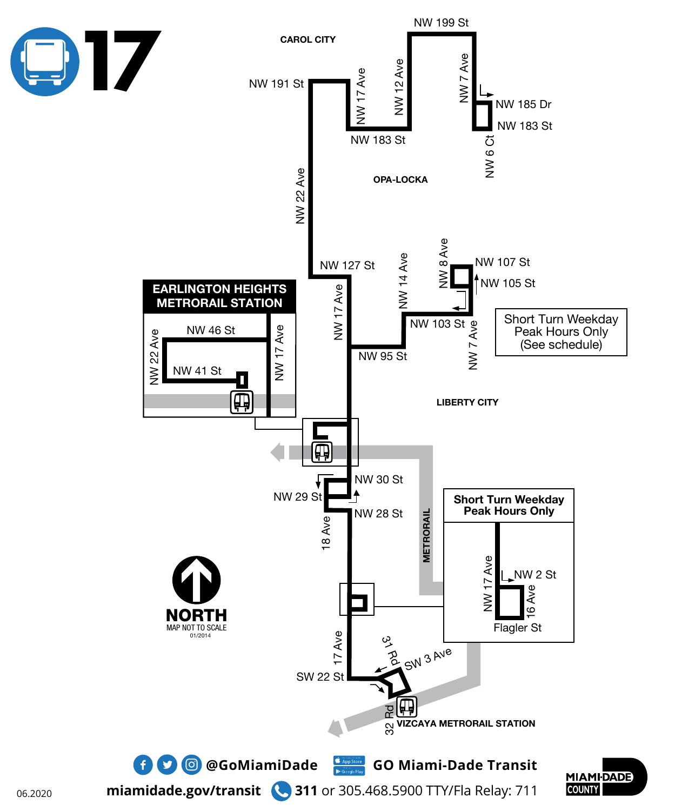

06.2020

**miamidade.gov/transit 311** or 305.468.5900 TTY/Fla Relay: 711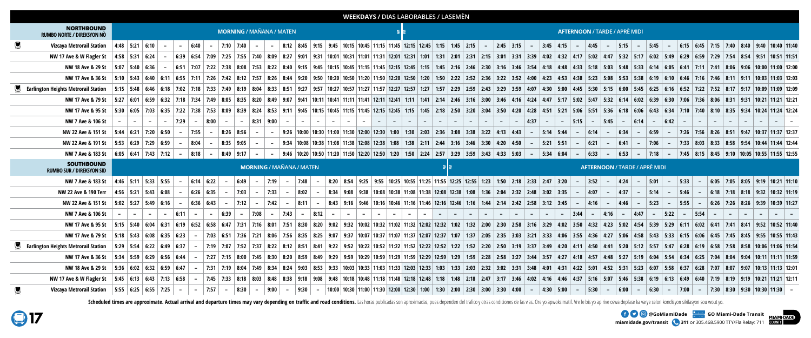



**miamidade.gov/transit 311** or 305.468.5900 TTY/Fla Relay: 711 **EXAMPLE OF A GOOG COMIAMIDAde COMIAMI-Dade Transit** 

|                                                       | <b>WEEKDAYS / DIAS LABORABLES / LASEMÈN</b> |                                 |                                                                          |  |          |                          |            |             |               |                   |                   |      |  |  |                                      |        |                                                                                                                                                                                                                                 |                      |          |      |  |        |                              |  |                                           |        |  |          |       |            |                               |  |                 |          |                                             |  |  |                                                                                                   |
|-------------------------------------------------------|---------------------------------------------|---------------------------------|--------------------------------------------------------------------------|--|----------|--------------------------|------------|-------------|---------------|-------------------|-------------------|------|--|--|--------------------------------------|--------|---------------------------------------------------------------------------------------------------------------------------------------------------------------------------------------------------------------------------------|----------------------|----------|------|--|--------|------------------------------|--|-------------------------------------------|--------|--|----------|-------|------------|-------------------------------|--|-----------------|----------|---------------------------------------------|--|--|---------------------------------------------------------------------------------------------------|
| <b>NORTHBOUND</b><br>RUMBO NORTE / DIREKSYON NÒ       | <b>MORNING / MAÑANA / MATEN</b>             |                                 |                                                                          |  |          |                          |            |             |               |                   |                   |      |  |  | <b>AFTERNOON / TARDE / APRÈ MIDI</b> |        |                                                                                                                                                                                                                                 |                      |          |      |  |        |                              |  |                                           |        |  |          |       |            |                               |  |                 |          |                                             |  |  |                                                                                                   |
| <b>Vizcaya Metrorail Station</b>                      | 4:48 5:21 6:10                              |                                 |                                                                          |  |          | $-$ 6:40                 | $\sim$ $-$ | 7:10   7:40 | $\sim$ $-$    |                   |                   |      |  |  |                                      |        | - 8:12 8:45 9:15 9:45 10:15 10:45 11:15 11:45 12:15 12:45 1:15 1:45 2:15 - 2:45 3:15 - 3:45 4:15 - 4:45 - 5:15 - 5:15 -                                                                                                         |                      |          |      |  |        |                              |  |                                           |        |  |          |       |            |                               |  |                 |          |                                             |  |  | $\mid$ 6:15 $\mid$ 6:45 $\mid$ 7:15 $\mid$ 7:40 $\mid$ 8:40 $\mid$ 9:40 $\mid$ 10:40 $\mid$ 11:40 |
| NW 17 Ave & W Flagler St                              |                                             | $4:58$ 5:31 6:24                |                                                                          |  |          |                          |            |             |               |                   |                   |      |  |  |                                      |        | 6:39   6:54   7:09   7:25   7:25   7:40   8:09   8:27   9:01   9:31   10:01   10:31   11:01   11:31   12:01   12:31   2:15   3:31   2:15   3:31   3:31   3:31   3:31   3:31   4:17   5:02   4:47   5:02   5:17   6:02   5:49    |                      |          |      |  |        |                              |  |                                           |        |  |          |       |            |                               |  |                 |          |                                             |  |  |                                                                                                   |
| NW 18 Ave & 29 St                                     |                                             | 5:07   5:40   6:36              |                                                                          |  |          |                          |            |             |               |                   |                   |      |  |  |                                      |        | 6:51   7:07   7:22   7:38   8:08   7:53   8:22   8:40   9:15   9:45   10:15   10:45   11:15   11:45   12:45   1:15   1:45   1:15   1:45   2:16   2:30   3:16   3:54   4:18   4:33   5:18   5:03   5:18   5:33   5:14   5:05     |                      |          |      |  |        |                              |  |                                           |        |  |          |       |            |                               |  |                 |          |                                             |  |  |                                                                                                   |
| NW 17 Ave & 36 St                                     |                                             |                                 |                                                                          |  |          |                          |            |             |               |                   |                   |      |  |  |                                      |        | 5:10 5:43 6:40 6:11 6:55 7:11 7:26 7:42 8:12 7:57 8:26 8:44 9:20 9:50 10:50 11:20 11:50 12:20 12:50 12:20 2:52 2:36 3:22 3:52 4:00 4:23 4:38 5:23 5:08 5:53 5:38 6:19 6:10 6:46 7:16 7:46 8:11 9:11 10:03 11:03 12:03 12:03     |                      |          |      |  |        |                              |  |                                           |        |  |          |       |            |                               |  |                 |          |                                             |  |  |                                                                                                   |
| <b>Earlington Heights Metrorail Station</b>           |                                             |                                 |                                                                          |  |          |                          |            |             |               |                   |                   |      |  |  |                                      |        | 5:15 5:48 6:46 6:18 7:02 7:18 7:33 7:49 8:19 8:04 8:33 8:51 9:27 9:57 10:27 11:57 12:27 12:57 12:27 12:57 12:27 12:57 12:27 12:57 12:27 12:57 12:27 12:57 12:27 12:57 12:27 12:57 12:27 12:57 12:27 12:57 12:27 12:57 2:29 2:43 |                      |          |      |  |        |                              |  |                                           |        |  |          |       |            |                               |  |                 |          |                                             |  |  |                                                                                                   |
| NW 17 Ave & 79 St                                     |                                             |                                 |                                                                          |  |          |                          |            |             |               |                   |                   |      |  |  |                                      |        | 5:27   6:01   6:59   6:32   7:18   7:34   7:49   8:05   8:35   8:20   8:49   9:07   9:41   10:11   10:41   11:11   12:41   12:11   12:41   12:11   12:41   12:11   12:44   5:10   3:16   4:16   4:16   4:16   4:16   4:14   5   |                      |          |      |  |        |                              |  |                                           |        |  |          |       |            |                               |  |                 |          |                                             |  |  |                                                                                                   |
| NW 17 Ave & 95 St                                     |                                             |                                 |                                                                          |  |          |                          |            |             |               |                   |                   |      |  |  |                                      |        | 5:30   6:05   7:03   6:35   7:22   7:38   7:53   8:09   8:39   8:24   8:53   9:11   9:45   10:15   10:45   11:15   12:45   12:15   12:45   12:15   12:45   12:15   12:45   2:18   2:16   2:18   2:18   2:18   2:50   3:00   3   |                      |          |      |  |        |                              |  |                                           |        |  |          |       |            |                               |  |                 |          |                                             |  |  |                                                                                                   |
| NW 7 Ave & 106 St                                     |                                             |                                 |                                                                          |  | $-$ 7:29 | $-$ 8:00                 |            |             | $\sim$        | 8:31 9:00         |                   |      |  |  |                                      |        |                                                                                                                                                                                                                                 |                      |          |      |  |        | $\sim$ $-$<br>$\sim$ $ \sim$ |  | $-$ 4:37                                  | $\sim$ |  |          |       |            | $\vert$ - 5:15 - 5:45 - 6:14  |  | $- 6:42$        |          |                                             |  |  |                                                                                                   |
| NW 22 Ave & 151 St                                    |                                             |                                 | $\vert$ 5:44 $\vert$ 6:21 $\vert$ 7:20 $\vert$ 6:50                      |  |          | $\mid$ 7:55 $\mid$       |            | $8:26$ 8:56 | $\sim$        |                   |                   |      |  |  |                                      |        | $-$ 9:26   10:00   10:30   11:00   11:30   12:00   12:30   1:00   1:30   2:03   2:36   3:08   3:38   3:22   4:13   4:43   $-$   5:14   5:44                                                                                     |                      |          |      |  |        |                              |  |                                           |        |  | $-$ 6:14 |       | $\sim$ $-$ | 6:34                          |  | $-$ 6:59 $-$    |          |                                             |  |  | 7:26   7:56   8:26   8:51   9:47   10:37   11:37   12:37                                          |
| NW 22 Ave & 191 St                                    |                                             |                                 | 5:53 6:29 7:29 6:59                                                      |  |          | $8:04$ –                 |            | $8:35$ 9:05 | $\sim$        |                   |                   |      |  |  |                                      |        | -   9:34   10:08   10:38   11:08   11:38   12:08   12:38   1:08   1:38   2:10   2:44   3:16   3:30   4:20   4:50   -   5:21   5:51   -   6:21   -   7:06   -   7:33   8:03   8:33   8:33   8:58   9:54   10:44   11:44   12:44  |                      |          |      |  |        |                              |  |                                           |        |  |          |       |            |                               |  |                 |          |                                             |  |  |                                                                                                   |
| NW 7 Ave & 183 St                                     |                                             |                                 | $ 6:05 6:41 7:43 7:12 $ -                                                |  |          | $8:18$ –                 |            |             | $8:49$ 9:17 - |                   |                   |      |  |  |                                      |        | - 9:46   10:20   10:50   11:20   11:50   12:20   12:50   1:20   1:50   2:24   2:57   3:29   3:59   3:43   4:33   5:03   -   5:34   6:04   -   6:33   -                                                                          |                      |          |      |  |        |                              |  |                                           |        |  |          |       |            |                               |  |                 |          |                                             |  |  | 6:53   -   7:18   -   7:45   8:15   8:45   9:10   10:05   10:55   11:55   12:55                   |
| <b>SOUTHBOUND</b><br><b>RUMBO SUR / DIREKSYON SID</b> |                                             | <b>MORNING / MAÑANA / MATEN</b> |                                                                          |  |          |                          |            |             |               |                   |                   |      |  |  |                                      |        | <b>AFTERNOON / TARDE / APRÈ MIDI</b>                                                                                                                                                                                            |                      |          |      |  |        |                              |  |                                           |        |  |          |       |            |                               |  |                 |          |                                             |  |  |                                                                                                   |
| NW 7 Ave & 183 St                                     | 4:46 5:11 5:33 5:55                         |                                 |                                                                          |  |          | $6:14$ 6:22              |            |             | 6:49          | $-$ 7:19 $-$ 7:48 |                   |      |  |  |                                      |        |                                                                                                                                                                                                                                 |                      |          |      |  |        |                              |  |                                           |        |  |          |       |            |                               |  |                 |          | $6:05$   7:05   8:05   9:19   10:21   11:10 |  |  |                                                                                                   |
|                                                       |                                             |                                 |                                                                          |  |          |                          |            |             |               |                   |                   |      |  |  |                                      |        | 8:20 8:54 9:25 9:55 10:25 10:55 11:25 11:55 12:25 12:55 1:23 1:50 2:18 2:33 2:47 3:20 - 3:52 - 4:24 - 5:01 - 5:33 -                                                                                                             |                      |          |      |  |        |                              |  |                                           |        |  |          |       |            |                               |  |                 |          |                                             |  |  |                                                                                                   |
| NW 22 Ave & 190 Terr                                  |                                             |                                 | 4:56 5:21 5:43 6:08                                                      |  |          | $6:26$ 6:35              |            |             | 7:03          | $7:33$            |                   | 8:02 |  |  |                                      |        | 8:34 9:08 9:38 10:08 10:38 11:08 11:38 12:08 12:38 1:08 1:36 2:04 2:32 2:48 3:02 3:35                                                                                                                                           |                      |          |      |  |        |                              |  |                                           |        |  |          |       |            | $-$ 4:07 - 4:37 - 5:14 - 5:46 |  |                 |          |                                             |  |  | 6:18   7:18   8:18   9:32   10:32   11:19                                                         |
| NW 22 Ave & 151 St                                    |                                             |                                 | $5:02$   5:27   5:49   6:16                                              |  |          | $6:36$ 6:43              |            |             |               |                   |                   |      |  |  |                                      |        | 7:12   -   7:42   -   8:11   -   8:43   9:16   9:46   10:16   10:46   11:16   11:16   12:16   1:16   1:44   2:14   2:42   2:58   3:12   3:45                                                                                    |                      |          |      |  |        |                              |  |                                           |        |  |          |       |            |                               |  |                 |          |                                             |  |  | │ − │4:16│ − │4:46│ − │5:23│ − │5:55│ − │6:26│7:26│8:26│9:39│10:39│11:27                          |
| NW 7 Ave & 106 St                                     |                                             |                                 |                                                                          |  | 6:11     |                          |            | 6:39        | 7:08          |                   | $-$ 7:43 - 8:12 - |      |  |  | $\sim$ $ \sim$                       | $\sim$ | $\sim$ $-$<br>$\sim$ $\sim$ $\sim$ $\sim$                                                                                                                                                                                       | $\sim$ $\sim$ $\sim$ | $\sim$ 1 | $ -$ |  | $\sim$ | $\sim$ $-$<br>$\sim$ $\sim$  |  | $\sim$ $\sim$ $\sim$ $\sim$ $\sim$ $\sim$ | $\sim$ |  | $-3:44$  | - - 1 | $ 4:16 $ - |                               |  | $ 4:47  - 5:22$ | $-$ 5:54 |                                             |  |  |                                                                                                   |
| NW 17 Ave & 95 St                                     |                                             |                                 |                                                                          |  |          |                          |            |             |               |                   |                   |      |  |  |                                      |        | 5:15 5:40 6:04 6:31 6:19 6:52 6:58 6:47 7:31 7:16 8:01 7:51 8:30 8:20 9:02 9:32 10:02 10:32 12:02 12:32 1:02 12:32 2:00 2:30 2:58 3:16 3:29 4:02 3:50 4:32 5:02 4:23 5:02 4:54 5:39 5:29 6:11 6:02 6:41 7:41 8:41 9:52 10:52 11 |                      |          |      |  |        |                              |  |                                           |        |  |          |       |            |                               |  |                 |          |                                             |  |  |                                                                                                   |
| NW 17 Ave & 79 St                                     |                                             |                                 | $\vert$ 5:18 $\vert$ 5:43 $\vert$ 6:08 $\vert$ 6:35 $\vert$ 6:23         |  |          | $\overline{\phantom{0}}$ |            |             |               |                   |                   |      |  |  |                                      |        | 7:03 6:51 7:36 7:36 7:31 8:06 7:56 8:35 8:25 9:07 9:37 10:07 10:37 11:07 11:37 12:07 12:37 1:07 1:37 2:05 2:35 3:03 3:21 3:33 4:06 3:55 4:36 4:35 4:36 4:57 5:06 4:58 5:43 5:33 6:15 6:06 6:45 7:45 8:45 9:55 10:55 11:43       |                      |          |      |  |        |                              |  |                                           |        |  |          |       |            |                               |  |                 |          |                                             |  |  |                                                                                                   |
| <b>Earlington Heights Metrorail Station</b>           |                                             |                                 | 5:29   5:54   6:22   6:49   6:37                                         |  |          |                          |            |             |               |                   |                   |      |  |  |                                      |        |                                                                                                                                                                                                                                 |                      |          |      |  |        |                              |  |                                           |        |  |          |       |            |                               |  |                 |          |                                             |  |  |                                                                                                   |
| NW 17 Ave & 36 St                                     |                                             |                                 | 5:34   5:59   6:29   6:56   6:44                                         |  |          |                          |            |             |               |                   |                   |      |  |  |                                      |        | 7:27   7:15   8:00   7:45   8:30   8:20   8:59   8:49   9:29   9:59 10:29   10:29   11:59   12:39   12:59   12:39   1:59   1:59   1:59   1:59   1:59   1:59   1:59   1:59   1:59   1:59   1:59   1:59   1:59   1:59   2:58   3: |                      |          |      |  |        |                              |  |                                           |        |  |          |       |            |                               |  |                 |          |                                             |  |  |                                                                                                   |
| NW 18 Ave & 29 St                                     |                                             |                                 | $\vert$ 5:36 $\vert$ 6:02 $\vert$ 6:32 $\vert$ 6:59 $\vert$ 6:47 $\vert$ |  |          |                          |            |             |               |                   |                   |      |  |  |                                      |        | 7:31 7:19 8:04 7:49 8:34 8:24 9:03 8:53 9:33 10:03 10:33 11:03 11:33 12:03 12:33 1:03 12:33 1:03 1:33 2:03 2:32 3:02 3:31 3:48 4:01 4:31 4:22 5:01 4:52 5:31 5:23 6:07 5:58 6:37 6:28 7:07 8:07 9:07 10:13 11:13 12:01          |                      |          |      |  |        |                              |  |                                           |        |  |          |       |            |                               |  |                 |          |                                             |  |  |                                                                                                   |
| NW 17 Ave & W Flagler St                              |                                             |                                 | 5:45   6:13   6:43   7:13   6:58                                         |  |          |                          |            |             |               |                   |                   |      |  |  |                                      |        | –   7:45   7:33   8:18   8:03   8:48   8:38   9:18   9:08   9:18   10:18   10:18   11:48   12:18   12:18   1:48   1:18   1:48   2:18   2:47   3:17   3:46   4:02   4:16   4:37   5:16   5:07   5:46   5:38   6:19   6:19   6:49 |                      |          |      |  |        |                              |  |                                           |        |  |          |       |            |                               |  |                 |          |                                             |  |  |                                                                                                   |

Scheduled times are approximate. Actual arrival and departure times may vary depending on traffic and road conditions. Las horas publicadas son aproximadas, pues dependen del trafico y otras condiciones de las vias. Ore yo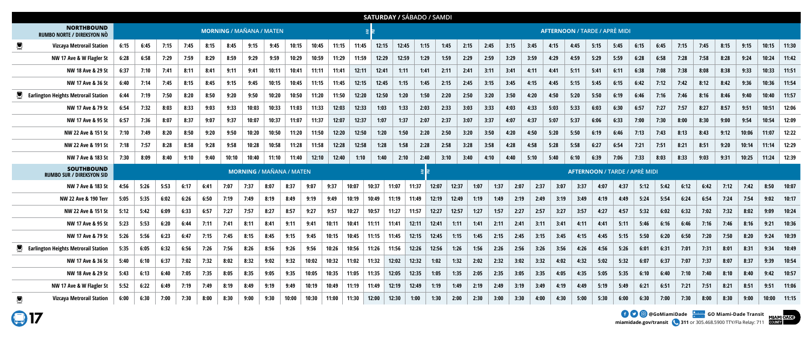**miamidade.gov/transit 311** or 305.468.5900 TTY/Fla Relay: 711

|                                                                 | <b>SATURDAY / SÁBADO / SAMDI</b> |      |      |      |      |       |                                 |       |       |       |       |       |       |       |                                      |       |       |      |      |      |      |      |      |                                      |      |      |      |      |      |      |       |       |       |
|-----------------------------------------------------------------|----------------------------------|------|------|------|------|-------|---------------------------------|-------|-------|-------|-------|-------|-------|-------|--------------------------------------|-------|-------|------|------|------|------|------|------|--------------------------------------|------|------|------|------|------|------|-------|-------|-------|
| <b>NORTHBOUND</b><br>RUMBO NORTE / DIREKSYON NÒ                 | <b>MORNING / MAÑANA / MATEN</b>  |      |      |      |      |       |                                 |       |       |       |       |       |       |       | <b>AFTERNOON / TARDE / APRÈ MIDI</b> |       |       |      |      |      |      |      |      |                                      |      |      |      |      |      |      |       |       |       |
| <b>Vizcaya Metrorail Station</b>                                | 6:15                             | 6:45 | 7:15 | 7:45 | 8:15 | 8:45  | 9:15                            | 9:45  | 10:15 | 10:45 | 11:15 | 11:45 | 12:15 | 12:45 | 1:15                                 |       | 1:45  | 2:15 | 2:45 | 3:15 | 3:45 | 4:15 | 4:45 | 5:15                                 | 5:45 | 6:15 | 6:45 | 7:15 | 7:45 | 8:15 | 9:15  | 10:15 | 11:30 |
| NW 17 Ave & W Flagler St                                        | 6:28                             | 6:58 | 7:29 | 7:59 | 8:29 | 8:59  | 9:29                            | 9:59  | 10:29 | 10:59 | 11:29 | 11:59 | 12:29 | 12:59 | 1:29                                 |       | 1:59  | 2:29 | 2:59 | 3:29 | 3:59 | 4:29 | 4:59 | 5:29                                 | 5:59 | 6:28 | 6:58 | 7:28 | 7:58 | 8:28 | 9:24  | 10:24 | 11:42 |
| NW 18 Ave & 29 St                                               | 6:37                             | 7:10 | 7:41 | 8:11 | 8:41 | 9:11  | 9:41                            | 10:11 | 10:41 | 11:11 | 11:41 | 12:11 | 12:41 | 1:11  | 1:41                                 | 2:11  |       | 2:41 | 3:11 | 3:41 | 4:11 | 4:41 | 5:11 | 5:41                                 | 6:11 | 6:38 | 7:08 | 7:38 | 8:08 | 8:38 | 9:33  | 10:33 | 11:51 |
| NW 17 Ave & 36 St                                               | 6:40                             | 7:14 | 7:45 | 8:15 | 8:45 | 9:15  | 9:45                            | 10:15 | 10:45 | 11:15 | 11:45 | 12:15 | 12:45 | 1:15  | 1:45                                 |       | 2:15  | 2:45 | 3:15 | 3:45 | 4:15 | 4:45 | 5:15 | 5:45                                 | 6:15 | 6:42 | 7:12 | 7:42 | 8:12 | 8:42 | 9:36  | 10:36 | 11:54 |
| <b>Earlington Heights Metrorail Station</b>                     | 6:44                             | 7:19 | 7:50 | 8:20 | 8:50 | 9:20  | 9:50                            | 10:20 | 10:50 | 11:20 | 11:50 | 12:20 | 12:50 | 1:20  | 1:50                                 |       | 2:20  | 2:50 | 3:20 | 3:50 | 4:20 | 4:50 | 5:20 | 5:50                                 | 6:19 | 6:46 | 7:16 | 7:46 | 8:16 | 8:46 | 9:40  | 10:40 | 11:57 |
| NW 17 Ave & 79 St                                               | 6:54                             | 7:32 | 8:03 | 8:33 | 9:03 | 9:33  | 10:03                           | 10:33 | 11:03 | 11:33 | 12:03 | 12:33 | 1:03  | 1:33  | 2:03                                 |       | 2:33  | 3:03 | 3:33 | 4:03 | 4:33 | 5:03 | 5:33 | 6:03                                 | 6:30 | 6:57 | 7:27 | 7:57 | 8:27 | 8:57 | 9:51  | 10:51 | 12:06 |
| NW 17 Ave & 95 St                                               | 6:57                             | 7:36 | 8:07 | 8:37 | 9:07 | 9:37  | 10:07                           | 10:37 | 11:07 | 11:37 | 12:07 | 12:37 | 1:07  | 1:37  | 2:07                                 | 2:37  |       | 3:07 | 3:37 | 4:07 | 4:37 | 5:07 | 5:37 | 6:06                                 | 6:33 | 7:00 | 7:30 | 8:00 | 8:30 | 9:00 | 9:54  | 10:54 | 12:09 |
| NW 22 Ave & 151 St                                              | 7:10                             | 7:49 | 8:20 | 8:50 | 9:20 | 9:50  | 10:20                           | 10:50 | 11:20 | 11:50 | 12:20 | 12:50 | 1:20  | 1:50  | 2:20                                 |       | 2:50  | 3:20 | 3:50 | 4:20 | 4:50 | 5:20 | 5:50 | 6:19                                 | 6:46 | 7:13 | 7:43 | 8:13 | 8:43 | 9:12 | 10:06 | 11:07 | 12:22 |
| NW 22 Ave & 191 St                                              | 7:18                             | 7:57 | 8:28 | 8:58 | 9:28 | 9:58  | 10:28                           | 10:58 | 11:28 | 11:58 | 12:28 | 12:58 | 1:28  | 1:58  | 2:28                                 | 2:58  |       | 3:28 | 3:58 | 4:28 | 4:58 | 5:28 | 5:58 | 6:27                                 | 6:54 | 7:21 | 7:51 | 8:21 | 8:51 | 9:20 | 10:14 | 11:14 | 12:29 |
| NW 7 Ave & 183 St                                               | 7:30                             | 8:09 | 8:40 | 9:10 | 9:40 | 10:10 | 10:40                           | 11:10 | 11:40 | 12:10 | 12:40 | 1:10  | 1:40  | 2:10  | 2:40                                 |       | 3:10  | 3:40 | 4:10 | 4:40 | 5:10 | 5:40 | 6:10 | 6:39                                 | 7:06 | 7:33 | 8:03 | 8:33 | 9:03 | 9:31 | 10:25 | 11:24 | 12:39 |
| <b>SOUTHBOUND</b><br><b>RUMBO SUR / DIREKSYON SID</b>           |                                  |      |      |      |      |       | <b>MORNING / MAÑANA / MATEN</b> |       |       |       |       |       |       |       |                                      |       |       |      |      |      |      |      |      | <b>AFTERNOON / TARDE / APRÈ MIDI</b> |      |      |      |      |      |      |       |       |       |
| NW 7 Ave & 183 St                                               | 4:56                             | 5:26 | 5:53 | 6:17 | 6:41 | 7:07  | 7:37                            | 8:07  | 8:37  | 9:07  | 9:37  | 10:07 | 10:37 | 11:07 | 11:37                                | 12:07 | 12:37 | 1:07 | 1:37 | 2:07 | 2:37 | 3:07 | 3:37 | 4:07                                 | 4:37 | 5:12 | 5:42 | 6:12 | 6:42 | 7:12 | 7:42  | 8:50  | 10:07 |
| NW 22 Ave & 190 Terr                                            | 5:05                             | 5:35 | 6:02 | 6:26 | 6:50 | 7:19  | 7:49                            | 8:19  | 8:49  | 9:19  | 9:49  | 10:19 | 10:49 | 11:19 | 11:49                                | 12:19 | 12:49 | 1:19 | 1:49 | 2:19 | 2:49 | 3:19 | 3:49 | 4:19                                 | 4:49 | 5:24 | 5:54 | 6:24 | 6:54 | 7:24 | 7:54  | 9:02  | 10:17 |
| NW 22 Ave & 151 St                                              | 5:12                             | 5:42 | 6:09 | 6:33 | 6:57 | 7:27  | 7:57                            | 8:27  | 8:57  | 9:27  | 9:57  | 10:27 | 10:57 | 11:27 | 11:57                                | 12:27 | 12:57 | 1:27 | 1:57 | 2:27 | 2:57 | 3:27 | 3:57 | 4:27                                 | 4:57 | 5:32 | 6:02 | 6:32 | 7:02 | 7:32 | 8:02  | 9:09  | 10:24 |
| NW 17 Ave & 95 St                                               | 5:23                             | 5:53 | 6:20 | 6:44 | 7:11 | 7:41  | 8:11                            | 8:41  | 9:11  | 9:41  | 10:11 | 10:41 | 11:11 | 11:41 | 12:11                                | 12:41 | 1:11  | 1:41 | 2:11 | 2:41 | 3:11 | 3:41 | 4:11 | 4:41                                 | 5:11 | 5:46 | 6:16 | 6:46 | 7:16 | 7:46 | 8:16  | 9:21  | 10:36 |
| NW 17 Ave & 79 St                                               | 5:26                             | 5:56 | 6:23 | 6:47 | 7:15 | 7:45  | 8:15                            | 8:45  | 9:15  | 9:45  | 10:15 | 10:45 | 11:15 | 11:45 | 12:15                                | 12:45 | 1:15  | 1:45 | 2:15 | 2:45 | 3:15 | 3:45 | 4:15 | 4:45                                 | 5:15 | 5:50 | 6:20 | 6:50 | 7:20 | 7:50 | 8:20  | 9:24  | 10:39 |
| <b>Example 2 Example 2 Earlington Heights Metrorail Station</b> | 5:35                             | 6:05 | 6:32 | 6:56 | 7:26 | 7:56  | 8:26                            | 8:56  | 9:26  | 9:56  | 10:26 | 10:56 | 11:26 | 11:56 | 12:26                                | 12:56 | 1:26  | 1:56 | 2:26 | 2:56 | 3:26 | 3:56 | 4:26 | 4:56                                 | 5:26 | 6:01 | 6:31 | 7:01 | 7:31 | 8:01 | 8:31  | 9:34  | 10:49 |
| NW 17 Ave & 36 St                                               | 5:40                             | 6:10 | 6:37 | 7:02 | 7:32 | 8:02  | 8:32                            | 9:02  | 9:32  | 10:02 | 10:32 | 11:02 | 11:32 | 12:02 | 12:32                                | 1:02  | 1:32  | 2:02 | 2:32 | 3:02 | 3:32 | 4:02 | 4:32 | 5:02                                 | 5:32 | 6:07 | 6:37 | 7:07 | 7:37 | 8:07 | 8:37  | 9:39  | 10:54 |
| NW 18 Ave & 29 St                                               | 5:43                             | 6:13 | 6:40 | 7:05 | 7:35 | 8:05  | 8:35                            | 9:05  | 9:35  | 10:05 | 10:35 | 11:05 | 11:35 | 12:05 | 12:35                                | 1:05  | 1:35  | 2:05 | 2:35 | 3:05 | 3:35 | 4:05 | 4:35 | 5:05                                 | 5:35 | 6:10 | 6:40 | 7:10 | 7:40 | 8:10 | 8:40  | 9:42  | 10:57 |
| NW 17 Ave & W Flagler St                                        | 5:52                             | 6:22 | 6:49 | 7:19 | 7:49 | 8:19  | 8:49                            | 9:19  | 9:49  | 10:19 | 10:49 | 11:19 | 11:49 | 12:19 | 12:49                                | 1:19  | 1:49  | 2:19 | 2:49 | 3:19 | 3:49 | 4:19 | 4:49 | 5:19                                 | 5:49 | 6:21 | 6:51 | 7:21 | 7:51 | 8:21 | 8:51  | 9:51  | 11:06 |
| <b>Vizcaya Metrorail Station</b>                                | 6:00                             | 6:30 | 7:00 | 7:30 | 8:00 | 8:30  | 9:00                            | 9:30  | 10:00 | 10:30 | 11:00 | 11:30 | 12:00 | 12:30 | 1:00                                 | 1:30  | 2:00  | 2:30 | 3:00 | 3:30 | 4:00 | 4:30 | 5:00 | 5:30                                 | 6:00 | 6:30 | 7:00 | 7:30 | 8:00 | 8:30 | 9:00  | 10:00 | 11:15 |

**917** 

**EXAMPLE OF A GOOG COMIAMIDAde COMIAMI-Dade Transit**